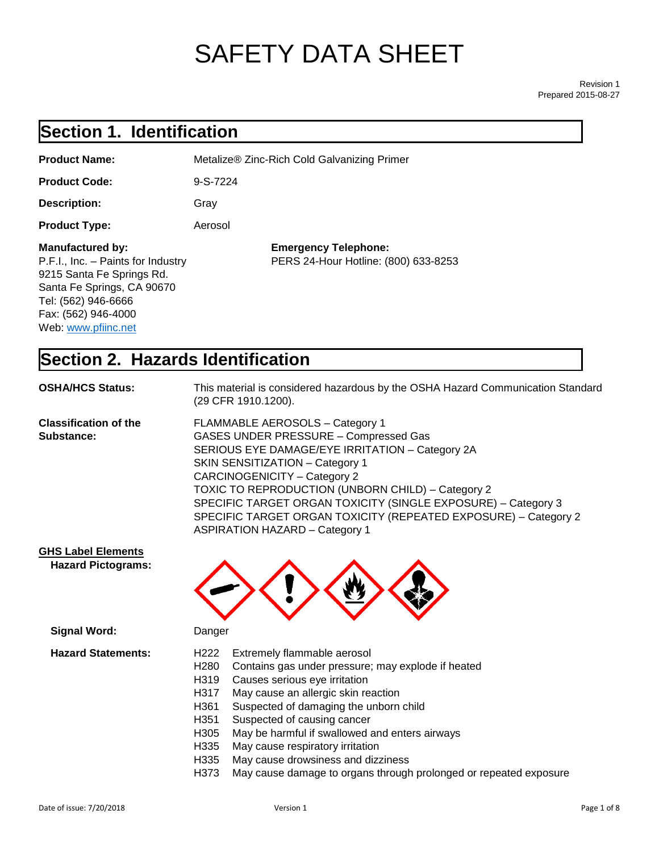# SAFETY DATA SHEET

Revision 1 Prepared 2015-08-27

# **Section 1. Identification**

| <b>Product Name:</b>                                                                                                                                                                   | Metalize® Zinc-Rich Cold Galvanizing Primer                         |
|----------------------------------------------------------------------------------------------------------------------------------------------------------------------------------------|---------------------------------------------------------------------|
| <b>Product Code:</b>                                                                                                                                                                   | $9-S-7224$                                                          |
| <b>Description:</b>                                                                                                                                                                    | Gray                                                                |
| <b>Product Type:</b>                                                                                                                                                                   | Aerosol                                                             |
| Manufactured by:<br>P.F.I., Inc. - Paints for Industry<br>9215 Santa Fe Springs Rd.<br>Santa Fe Springs, CA 90670<br>Tel: (562) 946-6666<br>Fax: (562) 946-4000<br>Web: www.pfiinc.net | <b>Emergency Telephone:</b><br>PERS 24-Hour Hotline: (800) 633-8253 |

# **Section 2. Hazards Identification**

| <b>OSHA/HCS Status:</b>                    | This material is considered hazardous by the OSHA Hazard Communication Standard<br>(29 CFR 1910.1200).                                                                                                                                                                                                                                                                                                                                         |
|--------------------------------------------|------------------------------------------------------------------------------------------------------------------------------------------------------------------------------------------------------------------------------------------------------------------------------------------------------------------------------------------------------------------------------------------------------------------------------------------------|
| <b>Classification of the</b><br>Substance: | FLAMMABLE AEROSOLS - Category 1<br><b>GASES UNDER PRESSURE - Compressed Gas</b><br>SERIOUS EYE DAMAGE/EYE IRRITATION - Category 2A<br>SKIN SENSITIZATION - Category 1<br><b>CARCINOGENICITY - Category 2</b><br>TOXIC TO REPRODUCTION (UNBORN CHILD) - Category 2<br>SPECIFIC TARGET ORGAN TOXICITY (SINGLE EXPOSURE) - Category 3<br>SPECIFIC TARGET ORGAN TOXICITY (REPEATED EXPOSURE) - Category 2<br><b>ASPIRATION HAZARD - Category 1</b> |
| <b>GHS Label Elements</b>                  |                                                                                                                                                                                                                                                                                                                                                                                                                                                |



| <b>Signal Word:</b>       | Danger                                                                    |  |
|---------------------------|---------------------------------------------------------------------------|--|
| <b>Hazard Statements:</b> | Extremely flammable aerosol<br>H222                                       |  |
|                           | Contains gas under pressure; may explode if heated<br>H <sub>280</sub>    |  |
|                           | Causes serious eye irritation<br>H319                                     |  |
|                           | May cause an allergic skin reaction<br>H317                               |  |
|                           | Suspected of damaging the unborn child<br>H361                            |  |
|                           | Suspected of causing cancer<br>H <sub>351</sub>                           |  |
|                           | May be harmful if swallowed and enters airways<br>H305                    |  |
|                           | May cause respiratory irritation<br>H335                                  |  |
|                           | May cause drowsiness and dizziness<br>H335                                |  |
|                           | May cause damage to organs through prolonged or repeated exposure<br>H373 |  |

 **Hazard Pictograms:**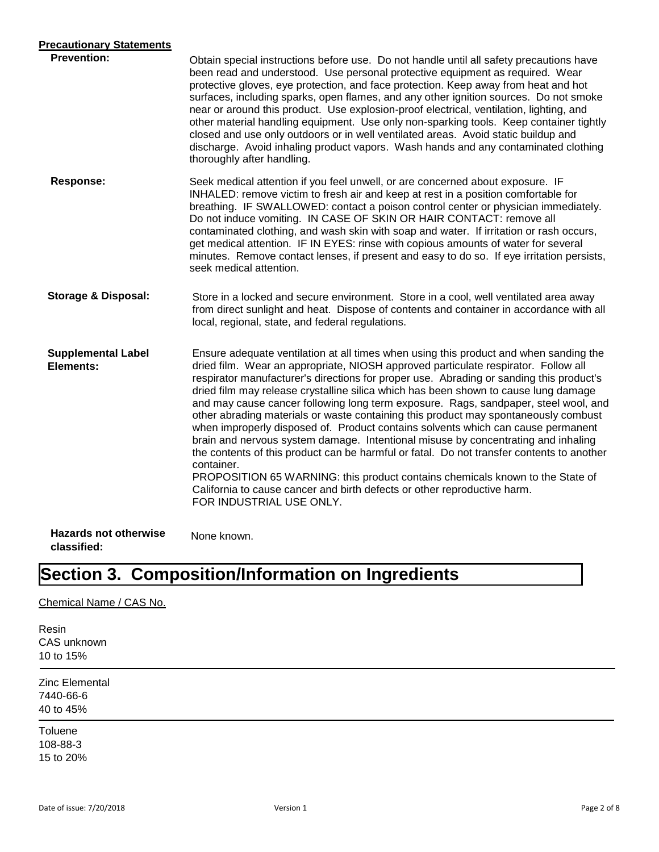| <b>Precautionary Statements</b>             |                                                                                                                                                                                                                                                                                                                                                                                                                                                                                                                                                                                                                                                                                                                                                                                                                                                                                                                                                                                                                          |
|---------------------------------------------|--------------------------------------------------------------------------------------------------------------------------------------------------------------------------------------------------------------------------------------------------------------------------------------------------------------------------------------------------------------------------------------------------------------------------------------------------------------------------------------------------------------------------------------------------------------------------------------------------------------------------------------------------------------------------------------------------------------------------------------------------------------------------------------------------------------------------------------------------------------------------------------------------------------------------------------------------------------------------------------------------------------------------|
| <b>Prevention:</b>                          | Obtain special instructions before use. Do not handle until all safety precautions have<br>been read and understood. Use personal protective equipment as required. Wear<br>protective gloves, eye protection, and face protection. Keep away from heat and hot<br>surfaces, including sparks, open flames, and any other ignition sources. Do not smoke<br>near or around this product. Use explosion-proof electrical, ventilation, lighting, and<br>other material handling equipment. Use only non-sparking tools. Keep container tightly<br>closed and use only outdoors or in well ventilated areas. Avoid static buildup and<br>discharge. Avoid inhaling product vapors. Wash hands and any contaminated clothing<br>thoroughly after handling.                                                                                                                                                                                                                                                                  |
| <b>Response:</b>                            | Seek medical attention if you feel unwell, or are concerned about exposure. IF<br>INHALED: remove victim to fresh air and keep at rest in a position comfortable for<br>breathing. IF SWALLOWED: contact a poison control center or physician immediately.<br>Do not induce vomiting. IN CASE OF SKIN OR HAIR CONTACT: remove all<br>contaminated clothing, and wash skin with soap and water. If irritation or rash occurs,<br>get medical attention. IF IN EYES: rinse with copious amounts of water for several<br>minutes. Remove contact lenses, if present and easy to do so. If eye irritation persists,<br>seek medical attention.                                                                                                                                                                                                                                                                                                                                                                               |
| <b>Storage &amp; Disposal:</b>              | Store in a locked and secure environment. Store in a cool, well ventilated area away<br>from direct sunlight and heat. Dispose of contents and container in accordance with all<br>local, regional, state, and federal regulations.                                                                                                                                                                                                                                                                                                                                                                                                                                                                                                                                                                                                                                                                                                                                                                                      |
| <b>Supplemental Label</b><br>Elements:      | Ensure adequate ventilation at all times when using this product and when sanding the<br>dried film. Wear an appropriate, NIOSH approved particulate respirator. Follow all<br>respirator manufacturer's directions for proper use. Abrading or sanding this product's<br>dried film may release crystalline silica which has been shown to cause lung damage<br>and may cause cancer following long term exposure. Rags, sandpaper, steel wool, and<br>other abrading materials or waste containing this product may spontaneously combust<br>when improperly disposed of. Product contains solvents which can cause permanent<br>brain and nervous system damage. Intentional misuse by concentrating and inhaling<br>the contents of this product can be harmful or fatal. Do not transfer contents to another<br>container.<br>PROPOSITION 65 WARNING: this product contains chemicals known to the State of<br>California to cause cancer and birth defects or other reproductive harm.<br>FOR INDUSTRIAL USE ONLY. |
| <b>Hazards not otherwise</b><br>classified: | None known.                                                                                                                                                                                                                                                                                                                                                                                                                                                                                                                                                                                                                                                                                                                                                                                                                                                                                                                                                                                                              |

# **Section 3. Composition/Information on Ingredients**

#### Chemical Name / CAS No.

Resin CAS unknown 10 to 15%

Zinc Elemental 7440-66-6 40 to 45%

Toluene 108-88-3 15 to 20%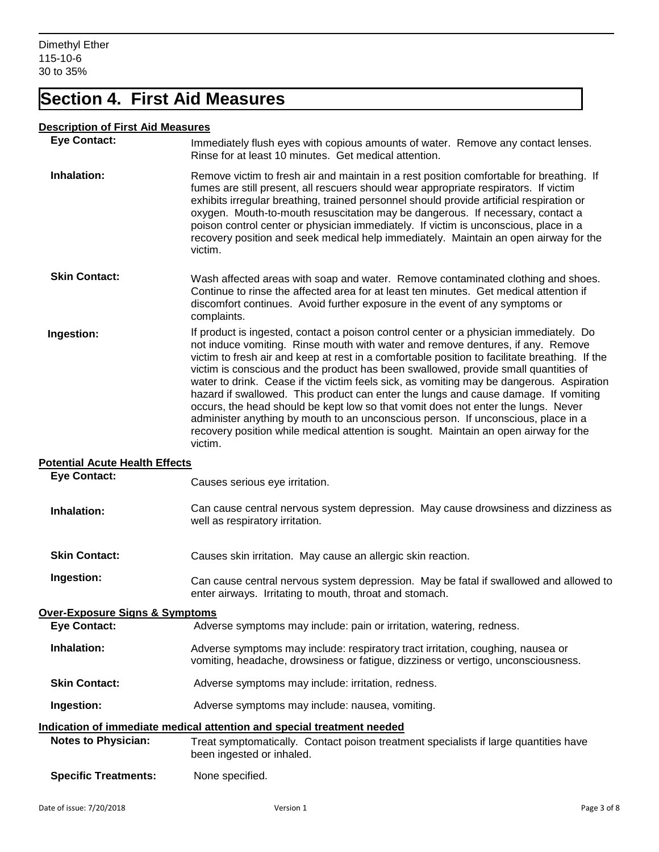## **Section 4. First Aid Measures**

#### **Description of First Aid Measures**

| <b>Eye Contact:</b>                        | Immediately flush eyes with copious amounts of water. Remove any contact lenses.<br>Rinse for at least 10 minutes. Get medical attention.                                                                                                                                                                                                                                                                                                                                                                                                                                                                                                                                                                                                                                                                                          |
|--------------------------------------------|------------------------------------------------------------------------------------------------------------------------------------------------------------------------------------------------------------------------------------------------------------------------------------------------------------------------------------------------------------------------------------------------------------------------------------------------------------------------------------------------------------------------------------------------------------------------------------------------------------------------------------------------------------------------------------------------------------------------------------------------------------------------------------------------------------------------------------|
| Inhalation:                                | Remove victim to fresh air and maintain in a rest position comfortable for breathing. If<br>fumes are still present, all rescuers should wear appropriate respirators. If victim<br>exhibits irregular breathing, trained personnel should provide artificial respiration or<br>oxygen. Mouth-to-mouth resuscitation may be dangerous. If necessary, contact a<br>poison control center or physician immediately. If victim is unconscious, place in a<br>recovery position and seek medical help immediately. Maintain an open airway for the<br>victim.                                                                                                                                                                                                                                                                          |
| <b>Skin Contact:</b>                       | Wash affected areas with soap and water. Remove contaminated clothing and shoes.<br>Continue to rinse the affected area for at least ten minutes. Get medical attention if<br>discomfort continues. Avoid further exposure in the event of any symptoms or<br>complaints.                                                                                                                                                                                                                                                                                                                                                                                                                                                                                                                                                          |
| Ingestion:                                 | If product is ingested, contact a poison control center or a physician immediately. Do<br>not induce vomiting. Rinse mouth with water and remove dentures, if any. Remove<br>victim to fresh air and keep at rest in a comfortable position to facilitate breathing. If the<br>victim is conscious and the product has been swallowed, provide small quantities of<br>water to drink. Cease if the victim feels sick, as vomiting may be dangerous. Aspiration<br>hazard if swallowed. This product can enter the lungs and cause damage. If vomiting<br>occurs, the head should be kept low so that vomit does not enter the lungs. Never<br>administer anything by mouth to an unconscious person. If unconscious, place in a<br>recovery position while medical attention is sought. Maintain an open airway for the<br>victim. |
| <b>Potential Acute Health Effects</b>      |                                                                                                                                                                                                                                                                                                                                                                                                                                                                                                                                                                                                                                                                                                                                                                                                                                    |
| <b>Eye Contact:</b>                        | Causes serious eye irritation.                                                                                                                                                                                                                                                                                                                                                                                                                                                                                                                                                                                                                                                                                                                                                                                                     |
| Inhalation:                                | Can cause central nervous system depression. May cause drowsiness and dizziness as<br>well as respiratory irritation.                                                                                                                                                                                                                                                                                                                                                                                                                                                                                                                                                                                                                                                                                                              |
| <b>Skin Contact:</b>                       | Causes skin irritation. May cause an allergic skin reaction.                                                                                                                                                                                                                                                                                                                                                                                                                                                                                                                                                                                                                                                                                                                                                                       |
| Ingestion:                                 | Can cause central nervous system depression. May be fatal if swallowed and allowed to<br>enter airways. Irritating to mouth, throat and stomach.                                                                                                                                                                                                                                                                                                                                                                                                                                                                                                                                                                                                                                                                                   |
| <u> Over-Exposure Signs &amp; Symptoms</u> |                                                                                                                                                                                                                                                                                                                                                                                                                                                                                                                                                                                                                                                                                                                                                                                                                                    |
| <b>Eye Contact:</b>                        | Adverse symptoms may include: pain or irritation, watering, redness.                                                                                                                                                                                                                                                                                                                                                                                                                                                                                                                                                                                                                                                                                                                                                               |
| Inhalation:                                | Adverse symptoms may include: respiratory tract irritation, coughing, nausea or<br>vomiting, headache, drowsiness or fatigue, dizziness or vertigo, unconsciousness.                                                                                                                                                                                                                                                                                                                                                                                                                                                                                                                                                                                                                                                               |

**Skin Contact:** Adverse symptoms may include: irritation, redness.

**Ingestion:** Adverse symptoms may include: nausea, vomiting.

### **Indication of immediate medical attention and special treatment needed**

- **Notes to Physician:** Treat symptomatically. Contact poison treatment specialists if large quantities have been ingested or inhaled.
- **Specific Treatments:** None specified.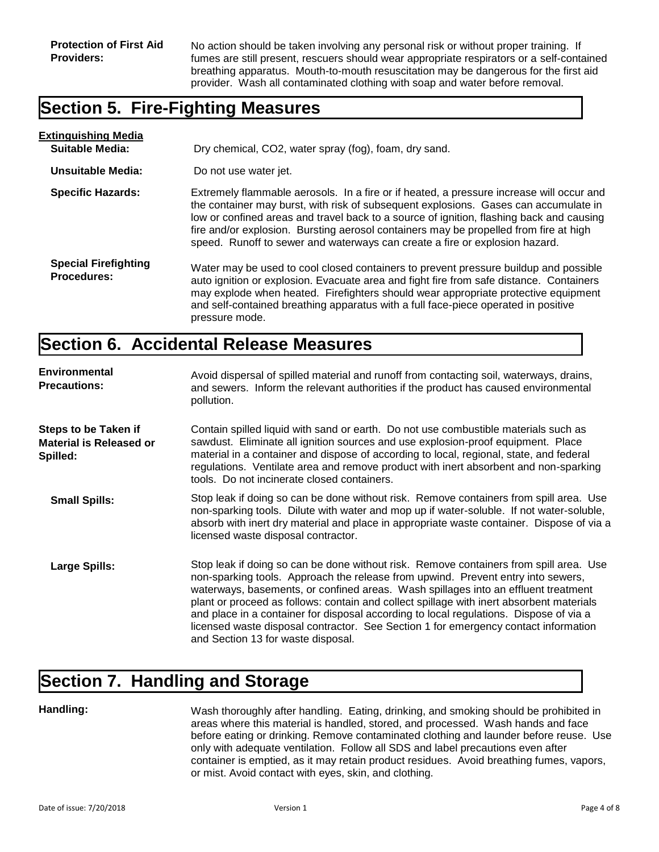No action should be taken involving any personal risk or without proper training. If fumes are still present, rescuers should wear appropriate respirators or a self-contained breathing apparatus. Mouth-to-mouth resuscitation may be dangerous for the first aid provider. Wash all contaminated clothing with soap and water before removal.

#### **Section 5. Fire-Fighting Measures**

| <b>Extinguishing Media</b>                        |                                                                                                                                                                                                                                                                                                                                                                                                                                                      |
|---------------------------------------------------|------------------------------------------------------------------------------------------------------------------------------------------------------------------------------------------------------------------------------------------------------------------------------------------------------------------------------------------------------------------------------------------------------------------------------------------------------|
| <b>Suitable Media:</b>                            | Dry chemical, CO2, water spray (fog), foam, dry sand.                                                                                                                                                                                                                                                                                                                                                                                                |
| Unsuitable Media:                                 | Do not use water jet.                                                                                                                                                                                                                                                                                                                                                                                                                                |
| <b>Specific Hazards:</b>                          | Extremely flammable aerosols. In a fire or if heated, a pressure increase will occur and<br>the container may burst, with risk of subsequent explosions. Gases can accumulate in<br>low or confined areas and travel back to a source of ignition, flashing back and causing<br>fire and/or explosion. Bursting aerosol containers may be propelled from fire at high<br>speed. Runoff to sewer and waterways can create a fire or explosion hazard. |
| <b>Special Firefighting</b><br><b>Procedures:</b> | Water may be used to cool closed containers to prevent pressure buildup and possible<br>auto ignition or explosion. Evacuate area and fight fire from safe distance. Containers<br>may explode when heated. Firefighters should wear appropriate protective equipment<br>and self-contained breathing apparatus with a full face-piece operated in positive<br>pressure mode.                                                                        |

#### **Section 6. Accidental Release Measures**

| <b>Environmental</b><br><b>Precautions:</b>                               | Avoid dispersal of spilled material and runoff from contacting soil, waterways, drains,<br>and sewers. Inform the relevant authorities if the product has caused environmental<br>pollution.                                                                                                                                                                                                                                                                                                                                                                                        |
|---------------------------------------------------------------------------|-------------------------------------------------------------------------------------------------------------------------------------------------------------------------------------------------------------------------------------------------------------------------------------------------------------------------------------------------------------------------------------------------------------------------------------------------------------------------------------------------------------------------------------------------------------------------------------|
| <b>Steps to be Taken if</b><br><b>Material is Released or</b><br>Spilled: | Contain spilled liquid with sand or earth. Do not use combustible materials such as<br>sawdust. Eliminate all ignition sources and use explosion-proof equipment. Place<br>material in a container and dispose of according to local, regional, state, and federal<br>regulations. Ventilate area and remove product with inert absorbent and non-sparking<br>tools. Do not incinerate closed containers.                                                                                                                                                                           |
| <b>Small Spills:</b>                                                      | Stop leak if doing so can be done without risk. Remove containers from spill area. Use<br>non-sparking tools. Dilute with water and mop up if water-soluble. If not water-soluble,<br>absorb with inert dry material and place in appropriate waste container. Dispose of via a<br>licensed waste disposal contractor.                                                                                                                                                                                                                                                              |
| <b>Large Spills:</b>                                                      | Stop leak if doing so can be done without risk. Remove containers from spill area. Use<br>non-sparking tools. Approach the release from upwind. Prevent entry into sewers,<br>waterways, basements, or confined areas. Wash spillages into an effluent treatment<br>plant or proceed as follows: contain and collect spillage with inert absorbent materials<br>and place in a container for disposal according to local regulations. Dispose of via a<br>licensed waste disposal contractor. See Section 1 for emergency contact information<br>and Section 13 for waste disposal. |

### **Section 7. Handling and Storage**

#### **Handling:**

Wash thoroughly after handling. Eating, drinking, and smoking should be prohibited in areas where this material is handled, stored, and processed. Wash hands and face before eating or drinking. Remove contaminated clothing and launder before reuse. Use only with adequate ventilation. Follow all SDS and label precautions even after container is emptied, as it may retain product residues. Avoid breathing fumes, vapors, or mist. Avoid contact with eyes, skin, and clothing.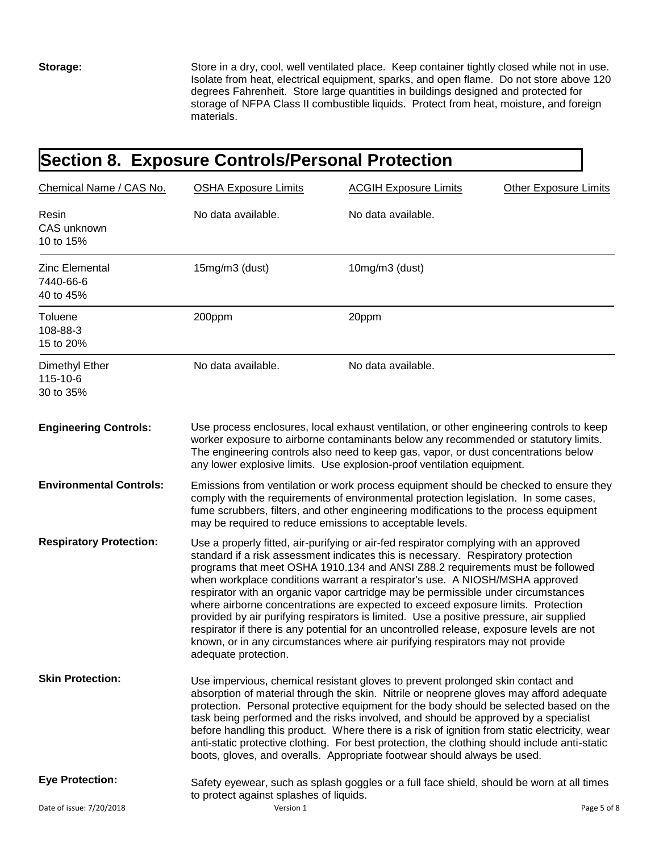**Storage:**

Store in a dry, cool, well ventilated place. Keep container tightly closed while not in use. Isolate from heat, electrical equipment, sparks, and open flame. Do not store above 120 degrees Fahrenheit. Store large quantities in buildings designed and protected for storage of NFPA Class II combustible liquids. Protect from heat, moisture, and foreign materials.

# **Section 8. Exposure Controls/Personal Protection**

| Chemical Name / CAS No.                  | <b>OSHA Exposure Limits</b>                                                                                                                                                                                                                                                                                                                                                                                                                                                                                                                                                                                                                                                                                                                                                                                           | <b>ACGIH Exposure Limits</b>                                                                                                                                                                                                                                                                                                                     | <b>Other Exposure Limits</b> |
|------------------------------------------|-----------------------------------------------------------------------------------------------------------------------------------------------------------------------------------------------------------------------------------------------------------------------------------------------------------------------------------------------------------------------------------------------------------------------------------------------------------------------------------------------------------------------------------------------------------------------------------------------------------------------------------------------------------------------------------------------------------------------------------------------------------------------------------------------------------------------|--------------------------------------------------------------------------------------------------------------------------------------------------------------------------------------------------------------------------------------------------------------------------------------------------------------------------------------------------|------------------------------|
| Resin<br>CAS unknown<br>10 to 15%        | No data available.                                                                                                                                                                                                                                                                                                                                                                                                                                                                                                                                                                                                                                                                                                                                                                                                    | No data available.                                                                                                                                                                                                                                                                                                                               |                              |
| Zinc Elemental<br>7440-66-6<br>40 to 45% | 15mg/m3 (dust)                                                                                                                                                                                                                                                                                                                                                                                                                                                                                                                                                                                                                                                                                                                                                                                                        | 10mg/m3 (dust)                                                                                                                                                                                                                                                                                                                                   |                              |
| <b>Toluene</b><br>108-88-3<br>15 to 20%  | 200ppm                                                                                                                                                                                                                                                                                                                                                                                                                                                                                                                                                                                                                                                                                                                                                                                                                | 20ppm                                                                                                                                                                                                                                                                                                                                            |                              |
| Dimethyl Ether<br>115-10-6<br>30 to 35%  | No data available.                                                                                                                                                                                                                                                                                                                                                                                                                                                                                                                                                                                                                                                                                                                                                                                                    | No data available.                                                                                                                                                                                                                                                                                                                               |                              |
| <b>Engineering Controls:</b>             |                                                                                                                                                                                                                                                                                                                                                                                                                                                                                                                                                                                                                                                                                                                                                                                                                       | Use process enclosures, local exhaust ventilation, or other engineering controls to keep<br>worker exposure to airborne contaminants below any recommended or statutory limits.<br>The engineering controls also need to keep gas, vapor, or dust concentrations below<br>any lower explosive limits. Use explosion-proof ventilation equipment. |                              |
| <b>Environmental Controls:</b>           | Emissions from ventilation or work process equipment should be checked to ensure they<br>comply with the requirements of environmental protection legislation. In some cases,<br>fume scrubbers, filters, and other engineering modifications to the process equipment<br>may be required to reduce emissions to acceptable levels.                                                                                                                                                                                                                                                                                                                                                                                                                                                                                   |                                                                                                                                                                                                                                                                                                                                                  |                              |
| <b>Respiratory Protection:</b>           | Use a properly fitted, air-purifying or air-fed respirator complying with an approved<br>standard if a risk assessment indicates this is necessary. Respiratory protection<br>programs that meet OSHA 1910.134 and ANSI Z88.2 requirements must be followed<br>when workplace conditions warrant a respirator's use. A NIOSH/MSHA approved<br>respirator with an organic vapor cartridge may be permissible under circumstances<br>where airborne concentrations are expected to exceed exposure limits. Protection<br>provided by air purifying respirators is limited. Use a positive pressure, air supplied<br>respirator if there is any potential for an uncontrolled release, exposure levels are not<br>known, or in any circumstances where air purifying respirators may not provide<br>adequate protection. |                                                                                                                                                                                                                                                                                                                                                  |                              |
| <b>Skin Protection:</b>                  | Use impervious, chemical resistant gloves to prevent prolonged skin contact and<br>absorption of material through the skin. Nitrile or neoprene gloves may afford adequate<br>protection. Personal protective equipment for the body should be selected based on the<br>task being performed and the risks involved, and should be approved by a specialist<br>before handling this product. Where there is a risk of ignition from static electricity, wear<br>anti-static protective clothing. For best protection, the clothing should include anti-static<br>boots, gloves, and overalls. Appropriate footwear should always be used.                                                                                                                                                                             |                                                                                                                                                                                                                                                                                                                                                  |                              |
| <b>Eye Protection:</b>                   | to protect against splashes of liquids.                                                                                                                                                                                                                                                                                                                                                                                                                                                                                                                                                                                                                                                                                                                                                                               | Safety eyewear, such as splash goggles or a full face shield, should be worn at all times                                                                                                                                                                                                                                                        |                              |
| Date of issue: 7/20/2018                 | Version 1                                                                                                                                                                                                                                                                                                                                                                                                                                                                                                                                                                                                                                                                                                                                                                                                             |                                                                                                                                                                                                                                                                                                                                                  | Page 5 of 8                  |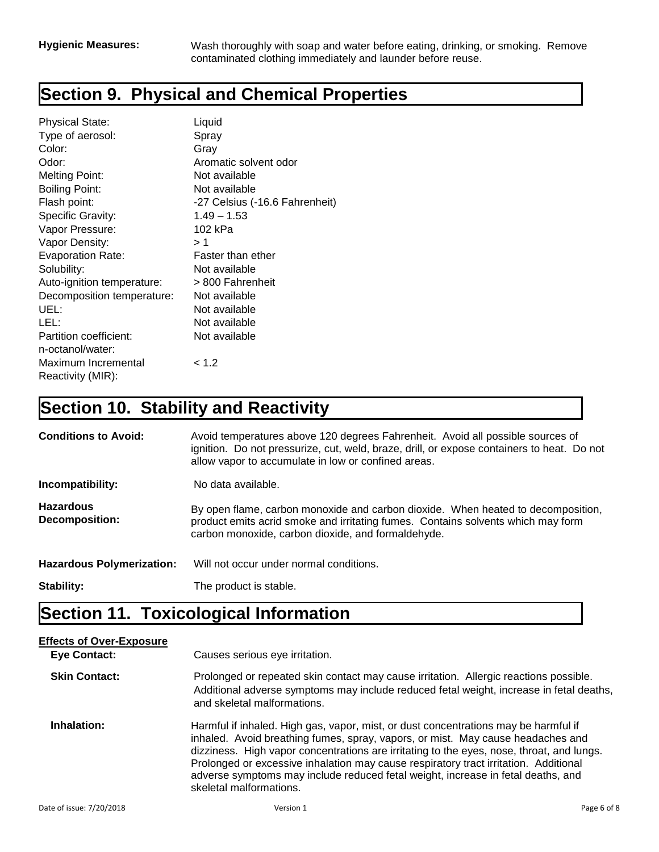# **Section 9. Physical and Chemical Properties**

| <b>Physical State:</b>     | Liquid                         |
|----------------------------|--------------------------------|
| Type of aerosol:           | Spray                          |
| Color:                     | Gray                           |
| Odor:                      | Aromatic solvent odor          |
| Melting Point:             | Not available                  |
| Boiling Point:             | Not available                  |
| Flash point:               | -27 Celsius (-16.6 Fahrenheit) |
| Specific Gravity:          | $1.49 - 1.53$                  |
| Vapor Pressure:            | 102 kPa                        |
| Vapor Density:             | >1                             |
| <b>Evaporation Rate:</b>   | Faster than ether              |
| Solubility:                | Not available                  |
| Auto-ignition temperature: | > 800 Fahrenheit               |
| Decomposition temperature: | Not available                  |
| UEL:                       | Not available                  |
| LEL:                       | Not available                  |
| Partition coefficient:     | Not available                  |
| n-octanol/water:           |                                |
| Maximum Incremental        | < 1.2                          |
| Reactivity (MIR):          |                                |

# **Section 10. Stability and Reactivity**

| <b>Conditions to Avoid:</b>               | Avoid temperatures above 120 degrees Fahrenheit. Avoid all possible sources of<br>ignition. Do not pressurize, cut, weld, braze, drill, or expose containers to heat. Do not<br>allow vapor to accumulate in low or confined areas. |
|-------------------------------------------|-------------------------------------------------------------------------------------------------------------------------------------------------------------------------------------------------------------------------------------|
| Incompatibility:                          | No data available.                                                                                                                                                                                                                  |
| <b>Hazardous</b><br><b>Decomposition:</b> | By open flame, carbon monoxide and carbon dioxide. When heated to decomposition,<br>product emits acrid smoke and irritating fumes. Contains solvents which may form<br>carbon monoxide, carbon dioxide, and formaldehyde.          |
| <b>Hazardous Polymerization:</b>          | Will not occur under normal conditions.                                                                                                                                                                                             |
| Stability:                                | The product is stable.                                                                                                                                                                                                              |

# **Section 11. Toxicological Information**

| <b>Effects of Over-Exposure</b> |                                                                                                                                                                                                                                                                                                                                                                                                                                                                            |             |
|---------------------------------|----------------------------------------------------------------------------------------------------------------------------------------------------------------------------------------------------------------------------------------------------------------------------------------------------------------------------------------------------------------------------------------------------------------------------------------------------------------------------|-------------|
| <b>Eye Contact:</b>             | Causes serious eye irritation.                                                                                                                                                                                                                                                                                                                                                                                                                                             |             |
| <b>Skin Contact:</b>            | Prolonged or repeated skin contact may cause irritation. Allergic reactions possible.<br>Additional adverse symptoms may include reduced fetal weight, increase in fetal deaths,<br>and skeletal malformations.                                                                                                                                                                                                                                                            |             |
| Inhalation:                     | Harmful if inhaled. High gas, vapor, mist, or dust concentrations may be harmful if<br>inhaled. Avoid breathing fumes, spray, vapors, or mist. May cause headaches and<br>dizziness. High vapor concentrations are irritating to the eyes, nose, throat, and lungs.<br>Prolonged or excessive inhalation may cause respiratory tract irritation. Additional<br>adverse symptoms may include reduced fetal weight, increase in fetal deaths, and<br>skeletal malformations. |             |
| Date of issue: 7/20/2018        | Version 1                                                                                                                                                                                                                                                                                                                                                                                                                                                                  | Page 6 of 8 |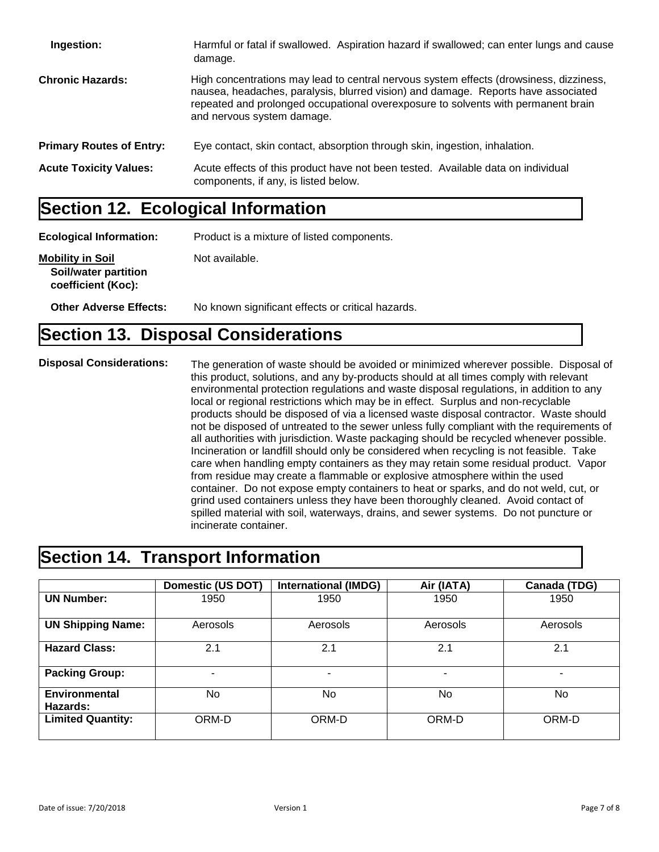| Ingestion:                      | Harmful or fatal if swallowed. Aspiration hazard if swallowed; can enter lungs and cause<br>damage.                                                                                                                                                                                            |
|---------------------------------|------------------------------------------------------------------------------------------------------------------------------------------------------------------------------------------------------------------------------------------------------------------------------------------------|
| <b>Chronic Hazards:</b>         | High concentrations may lead to central nervous system effects (drowsiness, dizziness,<br>nausea, headaches, paralysis, blurred vision) and damage. Reports have associated<br>repeated and prolonged occupational overexposure to solvents with permanent brain<br>and nervous system damage. |
| <b>Primary Routes of Entry:</b> | Eye contact, skin contact, absorption through skin, ingestion, inhalation.                                                                                                                                                                                                                     |
| <b>Acute Toxicity Values:</b>   | Acute effects of this product have not been tested. Available data on individual<br>components, if any, is listed below.                                                                                                                                                                       |

## **Section 12. Ecological Information**

**Ecological Information:** Product is a mixture of listed components. **Mobility in Soil** Not available.  **Soil/water partition coefficient (Koc): Other Adverse Effects:** No known significant effects or critical hazards.

#### **Section 13. Disposal Considerations**

**Disposal Considerations:**

The generation of waste should be avoided or minimized wherever possible. Disposal of this product, solutions, and any by-products should at all times comply with relevant environmental protection regulations and waste disposal regulations, in addition to any local or regional restrictions which may be in effect. Surplus and non-recyclable products should be disposed of via a licensed waste disposal contractor. Waste should not be disposed of untreated to the sewer unless fully compliant with the requirements of all authorities with jurisdiction. Waste packaging should be recycled whenever possible. Incineration or landfill should only be considered when recycling is not feasible. Take care when handling empty containers as they may retain some residual product. Vapor from residue may create a flammable or explosive atmosphere within the used container. Do not expose empty containers to heat or sparks, and do not weld, cut, or grind used containers unless they have been thoroughly cleaned. Avoid contact of spilled material with soil, waterways, drains, and sewer systems. Do not puncture or incinerate container.

#### **Section 14. Transport Information**

|                                  | <b>Domestic (US DOT)</b> | <b>International (IMDG)</b> | Air (IATA) | Canada (TDG) |
|----------------------------------|--------------------------|-----------------------------|------------|--------------|
| <b>UN Number:</b>                | 1950                     | 1950                        | 1950       | 1950         |
| <b>UN Shipping Name:</b>         | Aerosols                 | Aerosols                    | Aerosols   | Aerosols     |
| <b>Hazard Class:</b>             | 2.1                      | 2.1                         | 2.1        | 2.1          |
| <b>Packing Group:</b>            | ۰                        | -                           | ۰          |              |
| <b>Environmental</b><br>Hazards: | No                       | No.                         | No         | No           |
| <b>Limited Quantity:</b>         | ORM-D                    | ORM-D                       | ORM-D      | ORM-D        |